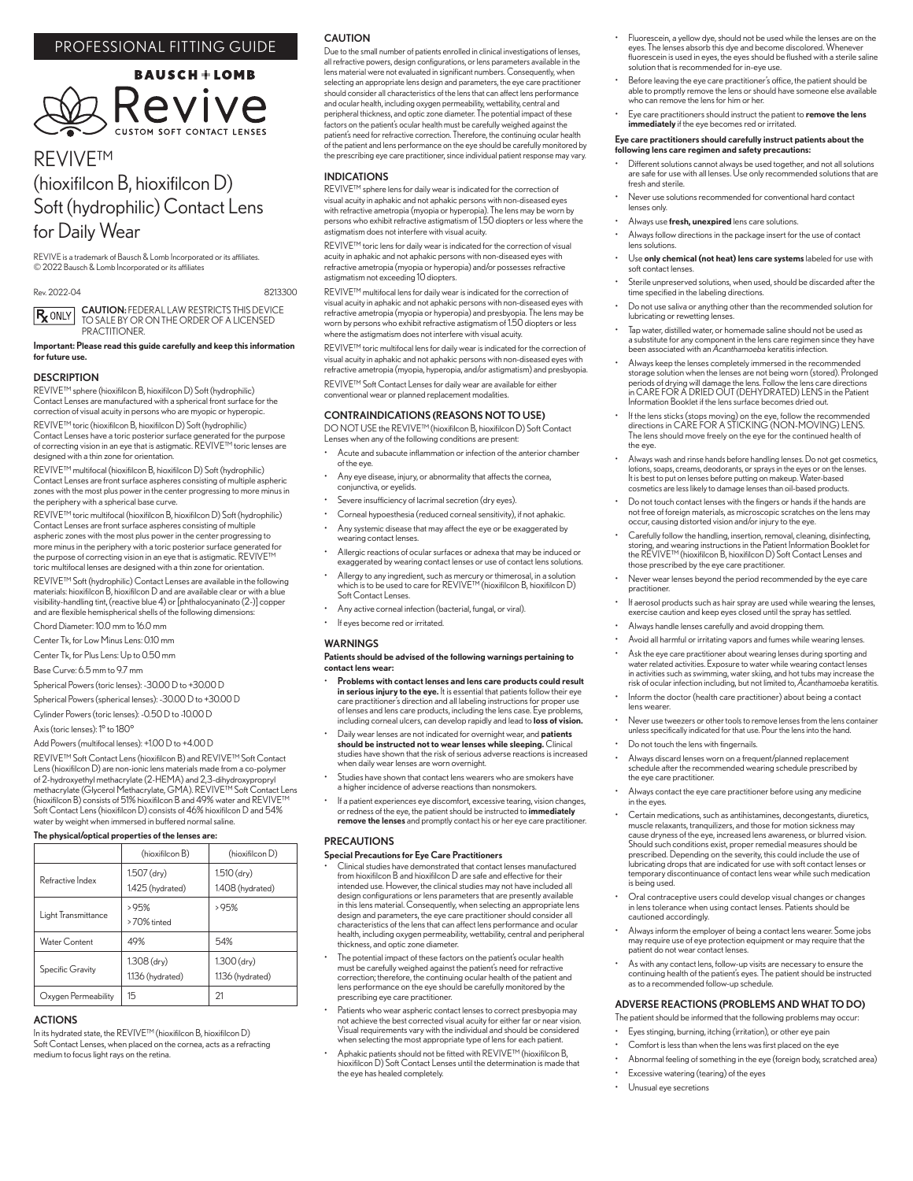# PROFESSIONAL FITTING GUIDE



# REVIVE™ (hioxifilcon B, hioxifilcon D) Soft (hydrophilic) Contact Lens for Daily Wear

REVIVE is a trademark of Bausch & Lomb Incorporated or its affiliates. © 2022 Bausch & Lomb Incorporated or its affiliates

Rev. 2022-04 8213300

CAUTION: FEDERAL LAW RESTRICTS THIS DEVICE  $|R_{\mathbf{r}}$  only TO SALE BY OR ON THE ORDER OF A LICENSED PRACTITIONER.

# Important: Please read this guide carefully and keep this information for future use.

#### **DESCRIPTION**

REVIVE™ sphere (hioxifilcon B, hioxifilcon D) Soft (hydrophilic) Contact Lenses are manufactured with a spherical front surface for the correction of visual acuity in persons who are myopic or hyperopic. REVIVE™ toric (hioxifilcon B, hioxifilcon D) Soft (hydrophilic) Contact Lenses have a toric posterior surface generated for the purpose of correcting vision in an eye that is astigmatic. REVIVE™ toric lenses are

designed with a thin zone for orientation. REVIVE™ multifocal (hioxifilcon B, hioxifilcon D) Soft (hydrophilic) Contact Lenses are front surface aspheres consisting of multiple aspheric

zones with the most plus power in the center progressing to more minus in the periphery with a spherical base curve.

REVIVE™ toric multifocal (hioxifilcon B, hioxifilcon D) Soft (hydrophilic) Contact Lenses are front surface aspheres consisting of multiple aspheric zones with the most plus power in the center progressing to more minus in the periphery with a toric posterior surface generated for the purpose of correcting vision in an eye that is astigmatic. REVIVE™<br>toric multifocal lenses are designed with a thin zone for orientation.

REVIVE™ Soft (hydrophilic) Contact Lenses are available in the following materials: hioxifilcon B, hioxifilcon D and are available clear or with a blue visibility-handling tint, (reactive blue 4) or [phthalocyaninato (2-)] copper and are flexible hemispherical shells of the following dimensions:

Chord Diameter: 10.0 mm to 16.0 mm

Center Tk, for Low Minus Lens: 0.10 mm

Center Tk, for Plus Lens: Up to 0.50 mm

Base Curve: 6.5 mm to 9.7 mm

Spherical Powers (toric lenses): -30.00 D to +30.00 D

Spherical Powers (spherical lenses): -30.00 D to +30.00 D

Cylinder Powers (toric lenses): -0.50 D to -10.00 D

Axis (toric lenses): 1° to 180°

Add Powers (multifocal lenses): +1.00 D to +4.00 D

REVIVE™ Soft Contact Lens (hioxifilcon B) and REVIVE™ Soft Contact Lens (hioxifilcon D) are non-ionic lens materials made from a co-polymer of 2-hydroxyethyl methacrylate (2-HEMA) and 2,3-dihydroxypropryl<br>methacrylate (Glycerol Methacrylate, GMA). REVIVE™ Soft Contact Lens<br>(hioxifilcon B) consists of 51% hioxifilcon B and 49% water and REVIVE™ Soft Contact Lens (hioxifilcon D) consists of 46% hioxifilcon D and 54% water by weight when immersed in buffered normal saline.

# The physical/optical properties of the lenses are:

|                     | (hioxifilcon B)                   | (hioxifilcon D)                   |
|---------------------|-----------------------------------|-----------------------------------|
| Refractive Index    | $1.507$ (dry)<br>1.425 (hydrated) | $1.510$ (dry)<br>1.408 (hydrated) |
| Light Transmittance | >95%<br>>70% tinted               | >95%                              |
| Water Content       | 49%                               | 54%                               |
| Specific Gravity    | $1.308$ (dry)<br>1.136 (hydrated) | $1.300$ (dry)<br>1.136 (hydrated) |
| Oxygen Permeability | 15                                | 21                                |

# ACTIONS

In its hydrated state, the REVIVE™ (hioxifilcon B, hioxifilcon D) Soft Contact Lenses, when placed on the cornea, acts as a refracting medium to focus light rays on the retina.

# CAUTION

Due to the small number of patients enrolled in clinical investigations of lenses, all refractive powers, design configurations, or lens parameters available in the dens material were not evaluated in significant numbers. Consequently, when selecting an appropriate lens design and parameters, the eye care practitioner should consider all characteristics of the lens that can affect lens performance and ocular health, including oxygen permeability, wettability, central and peripheral thickness, and optic zone diameter. The potential impact of these factors on the patient's ocular health must be carefully weighed against the patient's need for refractive correction. Therefore, the continuing ocular health of the patient and lens performance on the eye should be carefully monitored by the prescribing eye care practitioner, since individual patient response may vary.

# INDICATIONS

REVIVE™ sphere lens for daily wear is indicated for the correction of visual acuity in aphakic and not aphakic persons with non-diseased eyes with refractive ametropia (myopia or hyperopia). The lens may be worn by persons who exhibit refractive astigmatism of 1.50 diopters or less where the astigmatism does not interfere with visual acuity.

REVIVE™ toric lens for daily wear is indicated for the correction of visual acuity in aphakic and not aphakic persons with non-diseased eyes with refractive ametropia (myopia or hyperopia) and/or possesses refractive astigmatism not exceeding 10 diopters.

REVIVE™ multifocal lens for daily wear is indicated for the correction of visual acuity in aphakic and not aphakic persons with non-diseased eyes with refractive ametropia (myopia or hyperopia) and presbyopia. The lens may be worn by persons who exhibit refractive astigmatism of 1.50 diopters or less where the astigmatism does not interfere with visual acuity

REVIVE™ toric multifocal lens for daily wear is indicated for the correction of visual acuity in aphakic and not aphakic persons with non-diseased eyes with refractive ametropia (myopia, hyperopia, and/or astigmatism) and presbyopia.

REVIVE™ Soft Contact Lenses for daily wear are available for either conventional wear or planned replacement modalities.

# CONTRAINDICATIONS (REASONS NOT TO USE)

DO NOT USE the REVIVE™ (hioxifilcon B, hioxifilcon D) Soft Contact Lenses when any of the following conditions are present:

- Acute and subacute inflammation or infection of the anterior chamber of the eye.
- Any eye disease, injury, or abnormality that affects the cornea, conjunctiva, or eyelids.
- Severe insufficiency of lacrimal secretion (dry eyes).
- Corneal hypoesthesia (reduced corneal sensitivity), if not aphakic. • Any systemic disease that may affect the eye or be exaggerated by earing contact lenses.
- Allergic reactions of ocular surfaces or adnexa that may be induced or exaggerated by wearing contact lenses or use of contact lens solutions.
- Allergy to any ingredient, such as mercury or thimerosal, in a solution which is to be used to care for REVIVE™ (hioxifilcon B, hioxifilcon D) Soft Contact Lenses.
- Any active corneal infection (bacterial, fungal, or viral)
- If eyes become red or irritated.

#### **WARNINGS**

Patients should be advised of the following warnings pertaining to contact lens wear:

- Problems with contact lenses and lens care products could result in serious injury to the eye. It is essential that patients follow their eye care practitioner's direction and all labeling instructions for proper use of lenses and lens care products, including the lens case. Eye problems, including corneal ulcers, can develop rapidly and lead to **loss of vision.**
- Daily wear lenses are not indicated for overnight wear, and **patients**<br>**should be instructed not to wear lenses while sleeping.** Clinical studies have shown that the risk of serious adverse reactions is increased when daily wear lenses are worn overnight.
- Studies have shown that contact lens wearers who are smokers have a higher incidence of adverse reactions than nonsmokers.
- If a patient experiences eye discomfort, excessive tearing, vision changes, or redness of the eye, the patient should be instructed to **immediately** remove the lenses and promptly contact his or her eye care practitioner.

### PRECAUTIONS

- Special Precautions for Eye Care Practitioners
- Clinical studies have demonstrated that contact lenses manufactured from hioxifilcon B and hioxifilcon D are safe and effective for their intended use. However, the clinical studies may not have included all design configurations or lens parameters that are presently available in this lens material. Consequently, when selecting an appropriate lens design and parameters, the eye care practitioner should consider all characteristics of the lens that can affect lens performance and ocular health, including oxygen permeability, wettability, central and peripheral thickness, and optic zone diameter.
- The potential impact of these factors on the patient's ocular health must be carefully weighed against the patient's need for refractive correction; therefore, the continuing ocular health of the patient and lens performance on the eye should be carefully monitored by the prescribing eye care practitioner.
- Patients who wear aspheric contact lenses to correct presbyopia may not achieve the best corrected visual acuity for either far or near vision. Visual requirements vary with the individual and should be considered when selecting the most appropriate type of lens for each patient.
- Aphakic patients should not be fitted with REVIVE™ (hioxifilcon B, hioxifilcon D) Soft Contact Lenses until the determination is made that the eye has healed completely.
- Fluorescein, a yellow dye, should not be used while the lenses are on the eyes. The lenses absorb this dye and become discolored. Whenever fluorescein is used in eyes, the eyes should be flushed with a sterile saline solution that is recommended for in-eye use.
- Before leaving the eye care practitioner's office, the patient should be able to promptly remove the lens or should have someone else available who can remove the lens for him or her.
- Eye care practitioners should instruct the patient to remove the lens nediately if the eye becomes red or irritated.

#### Eye care practitioners should carefully instruct patients about the following lens care regimen and safety precautions:

- Different solutions cannot always be used together, and not all solutions are safe for use with all lenses. Use only recommended solutions that are fresh and sterile.
- Never use solutions recommended for conventional hard contact lenses only.
- Always use fresh, unexpired lens care solutions.
- Always follow directions in the package insert for the use of contact lens solutions.
- Use **only chemical (not heat) lens care systems** labeled for use with soft contact lenses.
- Sterile unpreserved solutions, when used, should be discarded after the time specified in the labeling directions.
- Do not use saliva or anything other than the recommended solution for lubricating or rewetting lenses.
- Tap water, distilled water, or homemade saline should not be used as a substitute for any component in the lens care regimen since they have been associated with an *Acanthamoeba* keratitis infection.
- Always keep the lenses completely immersed in the recommended storage solution when the lenses are not being worn (stored). Prolonged periods of drying will damage the lens. Follow the lens care directions in CARE FOR A DRIED OUT (DEHYDRATED) LENS in the Patient Information Booklet if the lens surface becomes dried out.
- If the lens sticks (stops moving) on the eye, follow the recommended directions in CARE FOR A STICKING (NON-MOVING) LENS. The lens should move freely on the eye for the continued health of the eye.
- Always wash and rinse hands before handling lenses. Do not get cosmetics, lotions, soaps, creams, deodorants, or sprays in the eyes or on the lenses. It is best to put on lenses before putting on makeup. Water-based cosmetics are less likely to damage lenses than oil-based products.
- Do not touch contact lenses with the fingers or hands if the hands are not free of foreign materials, as microscopic scratches on the lens may occur, causing distorted vision and/or injury to the eye.
- Carefully follow the handling, insertion, removal, cleaning, disinfecting, storing, and wearing instructions in the Patient Information Booklet for the REVIVE™ (hioxifilcon B, hioxifilcon D) Soft Contact Lenses and those prescribed by the eye care practitioner.
- Never wear lenses beyond the period recommended by the eye care practitioner.
- If aerosol products such as hair spray are used while wearing the lenses, exercise caution and keep eyes closed until the spray has settled.
- Always handle lenses carefully and avoid dropping them.
- Avoid all harmful or irritating vapors and fumes while wearing lenses.
- Ask the eye care practitioner about wearing lenses during sporting and water related activities. Exposure to water while wearing contact lenses in activities such as swimming, water skiing, and hot tubs may increase the risk of ocular infection including, but not limited to, *Acanthamoeba* keratitis.
- Inform the doctor (health care practitioner) about being a contact lens wearer.
- Never use tweezers or other tools to remove lenses from the lens container unless specifically indicated for that use. Pour the lens into the hand.
- Do not touch the lens with fingernails.
- Always discard lenses worn on a frequent/planned replacement schedule after the recommended wearing schedule prescribed by the eye care practitioner.
- Always contact the eye care practitioner before using any medicine in the eyes.
- Certain medications, such as antihistamines, decongestants, diuretics, muscle relaxants, tranquilizers, and those for motion sickness may cause dryness of the eye, increased lens awareness, or blurred vision. Should such conditions exist, proper remedial measures should be prescribed. Depending on the severity, this could include the use of lubricating drops that are indicated for use with soft contact lenses or temporary discontinuance of contact lens wear while such medication is being used.
- Oral contraceptive users could develop visual changes or changes in lens tolerance when using contact lenses. Patients should be cautioned accordingly.
- Always inform the employer of being a contact lens wearer. Some jobs may require use of eye protection equipment or may require that the patient do not wear contact lenses.
- As with any contact lens, follow-up visits are necessary to ensure the continuing health of the patient's eyes. The patient should be instructed as to a recommended follow-up schedule.

# ADVERSE REACTIONS (PROBLEMS AND WHAT TO DO)

The patient should be informed that the following problems may occur:

- Eyes stinging, burning, itching (irritation), or other eye pain
- Comfort is less than when the lens was first placed on the eye
- Abnormal feeling of something in the eye (foreign body, scratched area)
- Excessive watering (tearing) of the eyes
- Unusual eye secretions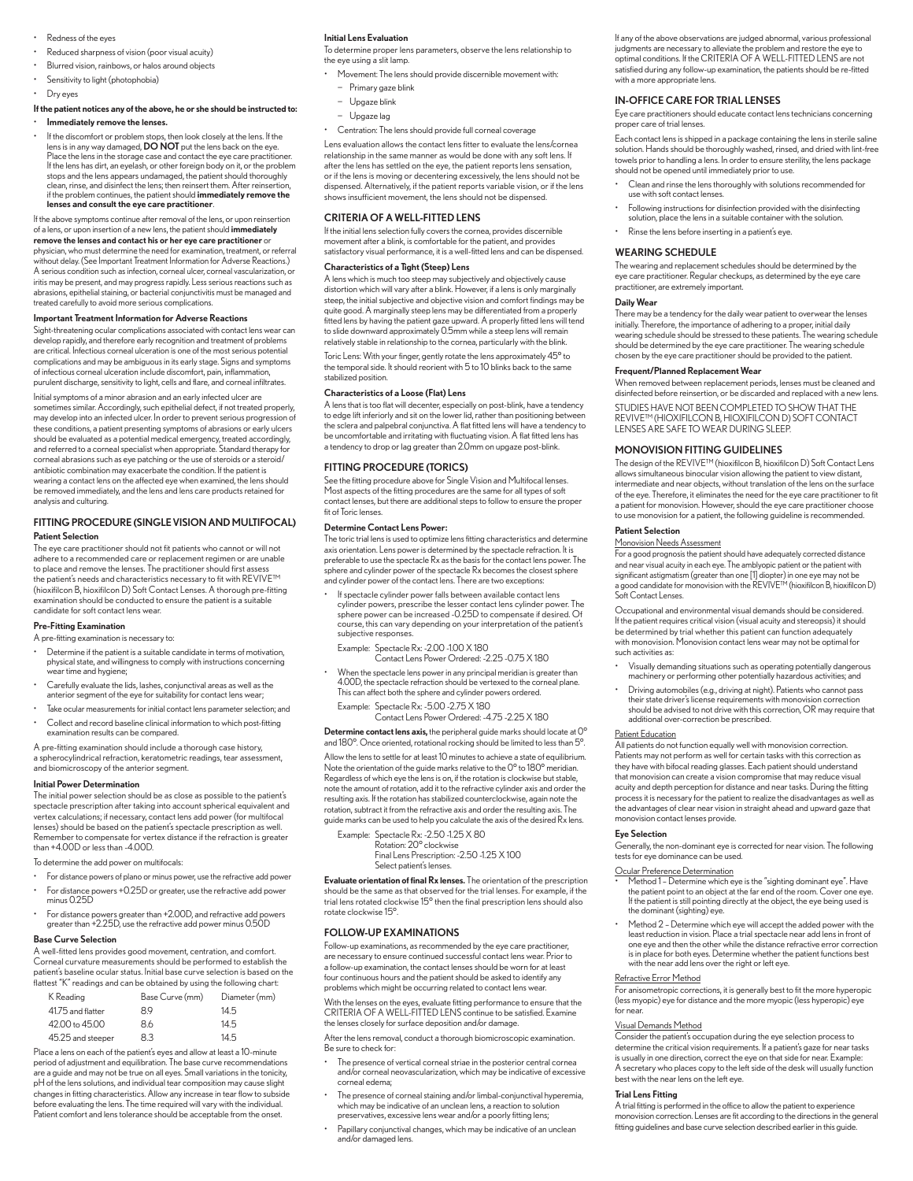- Redness of the eyes
- Reduced sharpness of vision (poor visual acuity)
- Blurred vision, rainbows, or halos around objects
- Sensitivity to light (photophobia)
- Dry eyes

# If the patient notices any of the above, he or she should be instructed to:

- Immediately remove the lenses.
- If the discomfort or problem stops, then look closely at the lens. If the lens is in any way damaged, **DO NOT** put the lens back on the eye. Place the lens in the storage case and contact the eye care practitioner. If the lens has dirt, an eyelash, or other foreign body on it, or the problem stops and the lens appears undamaged, the patient should thoroughly clean, rinse, and disinfect the lens; then reinsert them. After reinsertion, if the problem continues, the patient should immediately remove the lenses and consult the eye care practitioner.

# If the above symptoms continue after removal of the lens, or upon reinsertion of a lens, or upon insertion of a new lens, the patient should immediately remove the lenses and contact his or her eye care practitioner or

physician, who must determine the need for examination, treatment, or referral without delay. (See Important Treatment Information for Adverse Reactions.) A serious condition such as infection, corneal ulcer, corneal vascularization, or iritis may be present, and may progress rapidly. Less serious reactions such as abrasions, epithelial staining, or bacterial conjunctivitis must be managed and treated carefully to avoid more serious complications.

### Important Treatment Information for Adverse Reactions

Sight-threatening ocular complications associated with contact lens wear can develop rapidly, and therefore early recognition and treatment of problems are critical. Infectious corneal ulceration is one of the most serious potential complications and may be ambiguous in its early stage. Signs and symptoms of infectious corneal ulceration include discomfort, pain, inflammation, purulent discharge, sensitivity to light, cells and flare, and corneal infiltrates.

Initial symptoms of a minor abrasion and an early infected ulcer are sometimes similar. Accordingly, such epithelial defect, if not treated properly, may develop into an infected ulcer. In order to prevent serious progression of these conditions, a patient presenting symptoms of abrasions or early ulcers should be evaluated as a potential medical emergency, treated accordingly, and referred to a corneal specialist when appropriate. Standard therapy for corneal abrasions such as eye patching or the use of steroids or a steroid/ antibiotic combination may exacerbate the condition. If the patient is wearing a contact lens on the affected eye when examined, the lens should be removed immediately, and the lens and lens care products retained for analysis and culturing.

### FITTING PROCEDURE (SINGLE VISION AND MULTIFOCAL) Patient Selection

The eye care practitioner should not fit patients who cannot or will not adhere to a recommended care or replacement regimen or are unable to place and remove the lenses. The practitioner should first assess the patient's needs and characteristics necessary to fit with REVIVE™ (hioxifilcon B, hioxifilcon D) Soft Contact Lenses. A thorough pre-fitting examination should be conducted to ensure the patient is a suitable candidate for soft contact lens wear.

# Pre-Fitting Examination

A pre-fitting examination is necessary to:

- Determine if the patient is a suitable candidate in terms of motivation, physical state, and willingness to comply with instructions concerning wear time and hygiene;
- Carefully evaluate the lids, lashes, conjunctival areas as well as the anterior segment of the eye for suitability for contact lens wear;
- Take ocular measurements for initial contact lens parameter selection; and • Collect and record baseline clinical information to which post-fitting examination results can be compared.

A pre-fitting examination should include a thorough case history, a spherocylindrical refraction, keratometric readings, tear assessment, and biomicroscopy of the anterior segment.

#### Initial Power Determination

The initial power selection should be as close as possible to the patient's spectacle prescription after taking into account spherical equivalent and vertex calculations; if necessary, contact lens add power (for multifocal lenses) should be based on the patient's spectacle prescription as well. Remember to compensate for vertex distance if the refraction is greater than +4.00D or less than -4.00D.

To determine the add power on multifocals:

- For distance powers of plano or minus power, use the refractive add power • For distance powers +0.25D or greater, use the refractive add power
- minus 0.25D • For distance powers greater than +2.00D, and refractive add powers
- greater than +2.25D, use the refractive add power minus 0.50D

## Base Curve Selection

A well-fitted lens provides good movement, centration, and comfort. Corneal curvature measurements should be performed to establish the patient's baseline ocular status. Initial base curve selection is based on the flattest "K" readings and can be obtained by using the following chart:

| K Reading         | Base Curve (mm) | Diameter (mm) |
|-------------------|-----------------|---------------|
| 41.75 and flatter | 89              | 145           |
| 42.00 to 45.00    | 8.6             | 145           |
| 45.25 and steeper | 83              | 145           |

Place a lens on each of the patient's eyes and allow at least a 10-minute period of adjustment and equilibration. The base curve recommendations are a guide and may not be true on all eyes. Small variations in the tonicity, pH of the lens solutions, and individual tear composition may cause slight changes in fitting characteristics. Allow any increase in tear flow to subside before evaluating the lens. The time required will vary with the individual. Patient comfort and lens tolerance should be acceptable from the onset.

#### Initial Lens Evaluation

To determine proper lens parameters, observe the lens relationship to the eye using a slit lamp.

- Movement: The lens should provide discernible movement with:
	- − Primary gaze blink
	- − Upgaze blink
	- − Upgaze lag
- Centration: The lens should provide full corneal coverage

Lens evaluation allows the contact lens fitter to evaluate the lens/cornea relationship in the same manner as would be done with any soft lens. If after the lens has settled on the eye, the patient reports lens sensation, or if the lens is moving or decentering excessively, the lens should not be dispensed. Alternatively, if the patient reports variable vision, or if the lens shows insufficient movement, the lens should not be dispensed.

# CRITERIA OF A WELL-FITTED LENS

If the initial lens selection fully covers the cornea, provides discernible movement after a blink, is comfortable for the patient, and provides satisfactory visual performance, it is a well-fitted lens and can be dispensed.

# Characteristics of a Tight (Steep) Lens

A lens which is much too steep may subjectively and objectively cause distortion which will vary after a blink. However, if a lens is only marginally steep, the initial subjective and objective vision and comfort findings may be quite good. A marginally steep lens may be differentiated from a properly fitted lens by having the patient gaze upward. A properly fitted lens will tend to slide downward approximately 0.5mm while a steep lens will remain relatively stable in relationship to the cornea, particularly with the blink.

Toric Lens: With your finger, gently rotate the lens approximately 45° to the temporal side. It should reorient with 5 to 10 blinks back to the same stabilized position.

### Characteristics of a Loose (Flat) Lens

A lens that is too flat will decenter, especially on post-blink, have a tendency to edge lift inferiorly and sit on the lower lid, rather than positioning between the sclera and palpebral conjunctiva. A flat fitted lens will have a tendency to be uncomfortable and irritating with fluctuating vision. A flat fitted lens has a tendency to drop or lag greater than 2.0mm on upgaze post-blink.

#### FITTING PROCEDURE (TORICS)

See the fitting procedure above for Single Vision and Multifocal lenses. Most aspects of the fitting procedures are the same for all types of soft contact lenses, but there are additional steps to follow to ensure the proper fit of Toric lenses

# Determine Contact Lens Power:

The toric trial lens is used to optimize lens fitting characteristics and determine axis orientation. Lens power is determined by the spectacle refraction. It is preferable to use the spectacle Rx as the basis for the contact lens power. The sphere and cylinder power of the spectacle Rx becomes the closest sphere and cylinder power of the contact lens. There are two exceptions:

If spectacle cylinder power falls between available contact lens cylinder powers, prescribe the lesser contact lens cylinder power. The sphere power can be increased -0.25D to compensate if desired. Of course, this can vary depending on your interpretation of the patient's subjective responses.

Example: Spectacle Rx: -2.00 -1.00 X 180 Contact Lens Power Ordered: -2.25 -0.75 X 180

• When the spectacle lens power in any principal meridian is greater than 4.00D, the spectacle refraction should be vertexed to the corneal plane. This can affect both the sphere and cylinder powers ordered.

Example: Spectacle Rx: -5.00 -2.75 X 180 Contact Lens Power Ordered: -4.75 -2.25 X 180

Determine contact lens axis, the peripheral guide marks should locate at  $0^{\circ}$ and 180°. Once oriented, rotational rocking should be limited to less than 5°.

Allow the lens to settle for at least 10 minutes to achieve a state of equilibrium. Note the orientation of the guide marks relative to the 0° to 180° meridian. Regardless of which eye the lens is on, if the rotation is clockwise but stable, note the amount of rotation, add it to the refractive cylinder axis and order the resulting axis. If the rotation has stabilized counterclockwise, again note the rotation, subtract it from the refractive axis and order the resulting axis. The guide marks can be used to help you calculate the axis of the desired Rx lens.

Example: Spectacle Rx: -2.50 -1.25 X 80 Rotation: 20° clockwise Final Lens Prescription: -2.50 -1.25 X 100

elect patient's lenses.

Evaluate orientation of final Rx lenses. The orientation of the prescription should be the same as that observed for the trial lenses. For example, if the trial lens rotated clockwise 15° then the final prescription lens should also rotate clockwise 15°.

### FOLLOW-UP EXAMINATIONS

Follow-up examinations, as recommended by the eye care practitioner, are necessary to ensure continued successful contact lens wear. Prior to a follow-up examination, the contact lenses should be worn for at least four continuous hours and the patient should be asked to identify any problems which might be occurring related to contact lens wear.

With the lenses on the eyes, evaluate fitting performance to ensure that the CRITERIA OF A WELL-FITTED LENS continue to be satisfied. Examine the lenses closely for surface deposition and/or damage.

After the lens removal, conduct a thorough biomicroscopic examination. Be sure to check for:

- The presence of vertical corneal striae in the posterior central cornea and/or corneal neovascularization, which may be indicative of excessive corneal edema;
- The presence of corneal staining and/or limbal-conjunctival hyperemia, which may be indicative of an unclean lens, a reaction to solution preservatives, excessive lens wear and/or a poorly fitting lens;
- Papillary conjunctival changes, which may be indicative of an unclean and/or damaged lens.

If any of the above observations are judged abnormal, various professional judgments are necessary to alleviate the problem and restore the eye to optimal conditions. If the CRITERIA OF A WELL-FITTED LENS are not satisfied during any follow-up examination, the patients should be re-fitted with a more appropriate lens.

#### IN-OFFICE CARE FOR TRIAL LENSES

Eye care practitioners should educate contact lens technicians concerning proper care of trial lenses.

Each contact lens is shipped in a package containing the lens in sterile saline solution. Hands should be thoroughly washed, rinsed, and dried with lint-free towels prior to handling a lens. In order to ensure sterility, the lens package should not be opened until immediately prior to use.

- Clean and rinse the lens thoroughly with solutions recommended for use with soft contact lenses.
- Following instructions for disinfection provided with the disinfecting solution, place the lens in a suitable container with the solution.
- Rinse the lens before inserting in a patient's eye.

# WEARING SCHEDULE

The wearing and replacement schedules should be determined by the eye care practitioner. Regular checkups, as determined by the eye care practitioner, are extremely important.

#### Daily Wear

There may be a tendency for the daily wear patient to overwear the lenses initially. Therefore, the importance of adhering to a proper, initial daily wearing schedule should be stressed to these patients. The wearing schedule should be determined by the eye care practitioner. The wearing schedule chosen by the eye care practitioner should be provided to the patient.

#### Frequent/Planned Replacement Wear

When removed between replacement periods, lenses must be cleaned and disinfected before reinsertion, or be discarded and replaced with a new lens. STUDIES HAVE NOT BEEN COMPLETED TO SHOW THAT THE REVIVE™ (HIOXIFILCON B, HIOXIFILCON D) SOFT CONTACT LENSES ARE SAFE TO WEAR DURING SLEEP.

#### MONOVISION FITTING GUIDELINES

The design of the REVIVE™ (hioxifilcon B, hioxifilcon D) Soft Contact Lens allows simultaneous binocular vision allowing the patient to view distant, intermediate and near objects, without translation of the lens on the surface of the eye. Therefore, it eliminates the need for the eye care practitioner to fit a patient for monovision. However, should the eye care practitioner choose to use monovision for a patient, the following guideline is recommended.

# Patient Selection

### Monovision Needs Assessment

For a good prognosis the patient should have adequately corrected distance and near visual acuity in each eye. The amblyopic patient or the patient with<br>significant astigmatism (greater than one [1] diopter) in one eye may not be<br>a good candidate for monovision with the REVIVE™ (hioxifilcon B, hi Soft Contact Lenses.

Occupational and environmental visual demands should be considered. If the patient requires critical vision (visual acuity and stereopsis) it should be determined by trial whether this patient can function adequately with monovision. Monovision contact lens wear may not be optimal for such activities as:

- Visually demanding situations such as operating potentially dangerous machinery or performing other potentially hazardous activities; and
- Driving automobiles (e.g., driving at night). Patients who cannot pass their state driver's license requirements with monovision correction should be advised to not drive with this correction, OR may require that additional over-correction be prescribed.

#### Patient Education

All patients do not function equally well with monovision correction. Patients may not perform as well for certain tasks with this correction as they have with bifocal reading glasses. Each patient should understand that monovision can create a vision compromise that may reduce visual acuity and depth perception for distance and near tasks. During the fitting process it is necessary for the patient to realize the disadvantages as well as the advantages of clear near vision in straight ahead and upward gaze that monovision contact lenses provide.

#### Eye Selection

Generally, the non-dominant eye is corrected for near vision. The following tests for eye dominance can be used.

#### Ocular Preference Determination

Method 1 - Determine which eye is the "sighting dominant eye". Have the patient point to an object at the far end of the room. Cover one eye. If the patient is still pointing directly at the object, the eye being used is the dominant (sighting) eye.

• Method 2 – Determine which eye will accept the added power with the least reduction in vision. Place a trial spectacle near add lens in front of one eye and then the other while the distance refractive error correction is in place for both eyes. Determine whether the patient functions best with the near add lens over the right or left eye.

# Refractive Error Method

For anisometropic corrections, it is generally best to fit the more hyperopic (less myopic) eye for distance and the more myopic (less hyperopic) eye for near.

# Visual Demands Method

Consider the patient's occupation during the eye selection process to determine the critical vision requirements. If a patient's gaze for near tasks is usually in one direction, correct the eye on that side for near. Example: A secretary who places copy to the left side of the desk will usually function best with the near lens on the left eye.

monovision correction. Lenses are fit according to the directions in the general fitting guidelines and base curve selection described earlier in this guide.

#### Trial Lens Fitting A trial fitting is performed in the office to allow the patient to experience